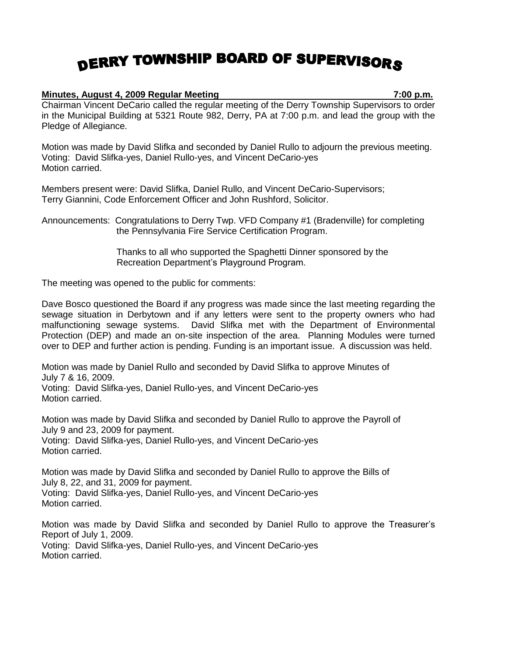## DERRY TOWNSHIP BOARD OF SUPERVISORS

## **Minutes, August 4, 2009 Regular Meeting 7:00 p.m.**

Chairman Vincent DeCario called the regular meeting of the Derry Township Supervisors to order in the Municipal Building at 5321 Route 982, Derry, PA at 7:00 p.m. and lead the group with the Pledge of Allegiance.

Motion was made by David Slifka and seconded by Daniel Rullo to adjourn the previous meeting. Voting: David Slifka-yes, Daniel Rullo-yes, and Vincent DeCario-yes Motion carried.

Members present were: David Slifka, Daniel Rullo, and Vincent DeCario-Supervisors; Terry Giannini, Code Enforcement Officer and John Rushford, Solicitor.

Announcements: Congratulations to Derry Twp. VFD Company #1 (Bradenville) for completing the Pennsylvania Fire Service Certification Program.

> Thanks to all who supported the Spaghetti Dinner sponsored by the Recreation Department's Playground Program.

The meeting was opened to the public for comments:

Dave Bosco questioned the Board if any progress was made since the last meeting regarding the sewage situation in Derbytown and if any letters were sent to the property owners who had malfunctioning sewage systems. David Slifka met with the Department of Environmental Protection (DEP) and made an on-site inspection of the area. Planning Modules were turned over to DEP and further action is pending. Funding is an important issue. A discussion was held.

Motion was made by Daniel Rullo and seconded by David Slifka to approve Minutes of July 7 & 16, 2009. Voting: David Slifka-yes, Daniel Rullo-yes, and Vincent DeCario-yes Motion carried.

Motion was made by David Slifka and seconded by Daniel Rullo to approve the Payroll of July 9 and 23, 2009 for payment. Voting: David Slifka-yes, Daniel Rullo-yes, and Vincent DeCario-yes Motion carried.

Motion was made by David Slifka and seconded by Daniel Rullo to approve the Bills of July 8, 22, and 31, 2009 for payment. Voting: David Slifka-yes, Daniel Rullo-yes, and Vincent DeCario-yes Motion carried.

Motion was made by David Slifka and seconded by Daniel Rullo to approve the Treasurer's Report of July 1, 2009. Voting: David Slifka-yes, Daniel Rullo-yes, and Vincent DeCario-yes Motion carried.